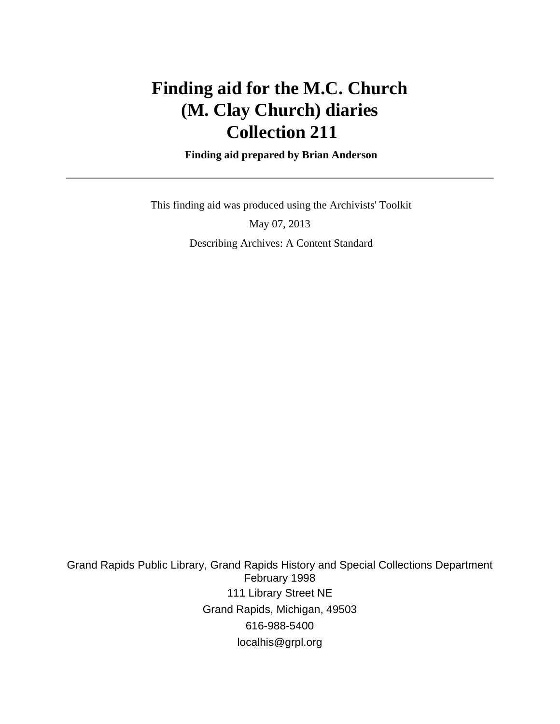# **Finding aid for the M.C. Church (M. Clay Church) diaries Collection 211**

 **Finding aid prepared by Brian Anderson**

 This finding aid was produced using the Archivists' Toolkit May 07, 2013 Describing Archives: A Content Standard

Grand Rapids Public Library, Grand Rapids History and Special Collections Department February 1998 111 Library Street NE Grand Rapids, Michigan, 49503 616-988-5400 localhis@grpl.org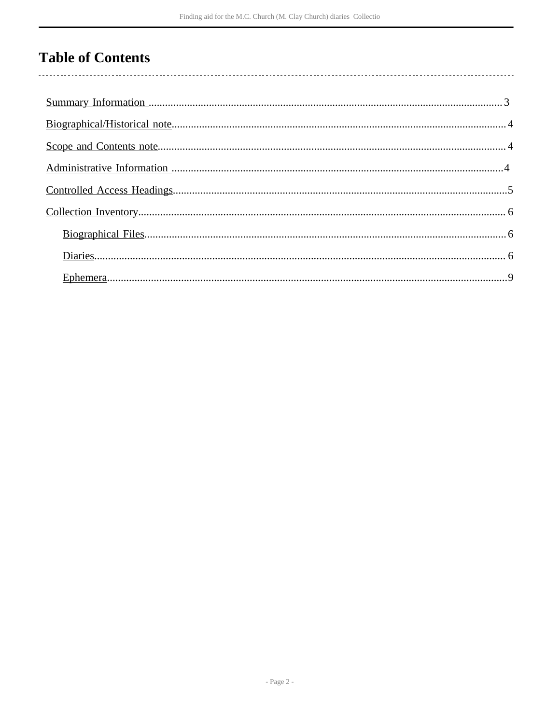# **Table of Contents**

 $\overline{\phantom{a}}$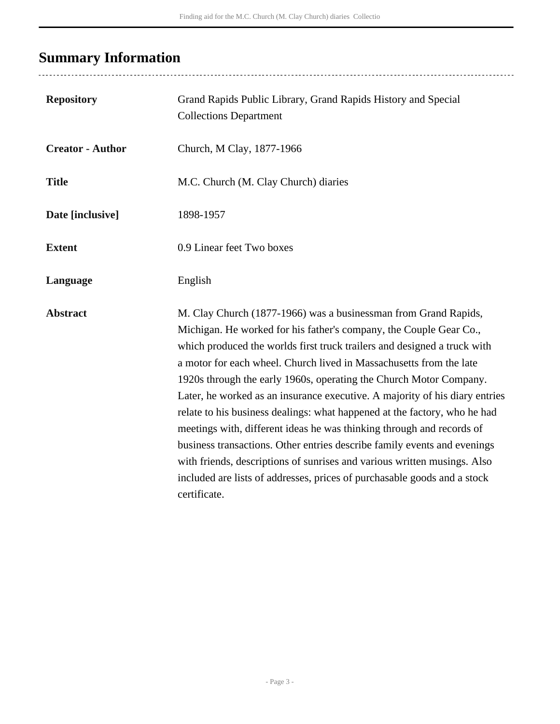# <span id="page-2-0"></span>**Summary Information**

| <b>Repository</b>       | Grand Rapids Public Library, Grand Rapids History and Special<br><b>Collections Department</b>                                                                                                                                                                                                                                                                                                                                                                                                                                                                                                                                                                                                                                                                                                                                                          |
|-------------------------|---------------------------------------------------------------------------------------------------------------------------------------------------------------------------------------------------------------------------------------------------------------------------------------------------------------------------------------------------------------------------------------------------------------------------------------------------------------------------------------------------------------------------------------------------------------------------------------------------------------------------------------------------------------------------------------------------------------------------------------------------------------------------------------------------------------------------------------------------------|
| <b>Creator - Author</b> | Church, M Clay, 1877-1966                                                                                                                                                                                                                                                                                                                                                                                                                                                                                                                                                                                                                                                                                                                                                                                                                               |
| <b>Title</b>            | M.C. Church (M. Clay Church) diaries                                                                                                                                                                                                                                                                                                                                                                                                                                                                                                                                                                                                                                                                                                                                                                                                                    |
| Date [inclusive]        | 1898-1957                                                                                                                                                                                                                                                                                                                                                                                                                                                                                                                                                                                                                                                                                                                                                                                                                                               |
| <b>Extent</b>           | 0.9 Linear feet Two boxes                                                                                                                                                                                                                                                                                                                                                                                                                                                                                                                                                                                                                                                                                                                                                                                                                               |
| Language                | English                                                                                                                                                                                                                                                                                                                                                                                                                                                                                                                                                                                                                                                                                                                                                                                                                                                 |
| <b>Abstract</b>         | M. Clay Church (1877-1966) was a businessman from Grand Rapids,<br>Michigan. He worked for his father's company, the Couple Gear Co.,<br>which produced the worlds first truck trailers and designed a truck with<br>a motor for each wheel. Church lived in Massachusetts from the late<br>1920s through the early 1960s, operating the Church Motor Company.<br>Later, he worked as an insurance executive. A majority of his diary entries<br>relate to his business dealings: what happened at the factory, who he had<br>meetings with, different ideas he was thinking through and records of<br>business transactions. Other entries describe family events and evenings<br>with friends, descriptions of sunrises and various written musings. Also<br>included are lists of addresses, prices of purchasable goods and a stock<br>certificate. |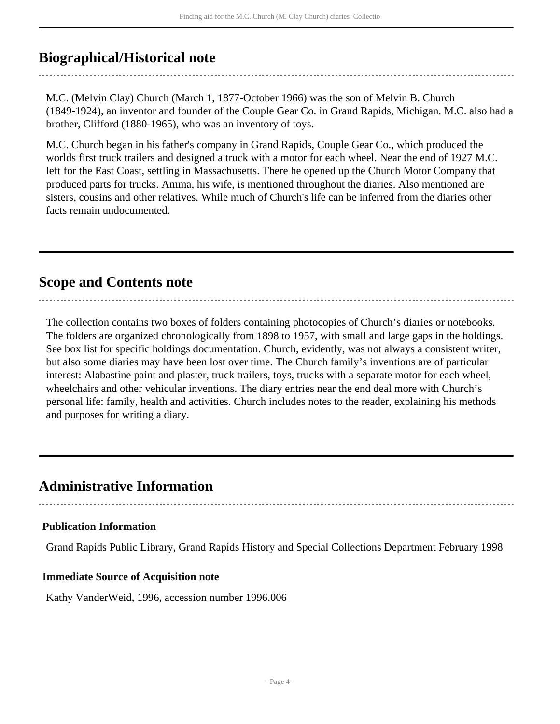## <span id="page-3-0"></span>**Biographical/Historical note**

M.C. (Melvin Clay) Church (March 1, 1877-October 1966) was the son of Melvin B. Church (1849-1924), an inventor and founder of the Couple Gear Co. in Grand Rapids, Michigan. M.C. also had a brother, Clifford (1880-1965), who was an inventory of toys.

M.C. Church began in his father's company in Grand Rapids, Couple Gear Co., which produced the worlds first truck trailers and designed a truck with a motor for each wheel. Near the end of 1927 M.C. left for the East Coast, settling in Massachusetts. There he opened up the Church Motor Company that produced parts for trucks. Amma, his wife, is mentioned throughout the diaries. Also mentioned are sisters, cousins and other relatives. While much of Church's life can be inferred from the diaries other facts remain undocumented.

## <span id="page-3-1"></span>**Scope and Contents note**

The collection contains two boxes of folders containing photocopies of Church's diaries or notebooks. The folders are organized chronologically from 1898 to 1957, with small and large gaps in the holdings. See box list for specific holdings documentation. Church, evidently, was not always a consistent writer, but also some diaries may have been lost over time. The Church family's inventions are of particular interest: Alabastine paint and plaster, truck trailers, toys, trucks with a separate motor for each wheel, wheelchairs and other vehicular inventions. The diary entries near the end deal more with Church's personal life: family, health and activities. Church includes notes to the reader, explaining his methods and purposes for writing a diary.

....................................

## <span id="page-3-2"></span>**Administrative Information**

#### **Publication Information**

Grand Rapids Public Library, Grand Rapids History and Special Collections Department February 1998

#### **Immediate Source of Acquisition note**

Kathy VanderWeid, 1996, accession number 1996.006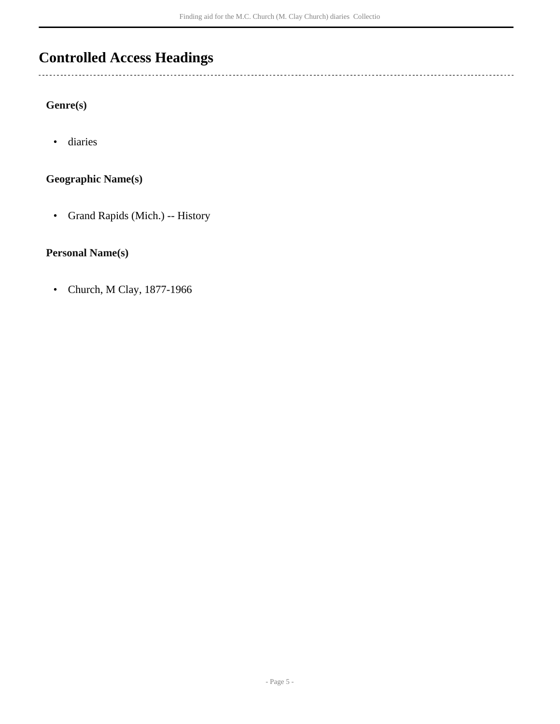## <span id="page-4-0"></span>**Controlled Access Headings**

#### **Genre(s)**

 $\ddotsc$ 

• diaries

#### **Geographic Name(s)**

• Grand Rapids (Mich.) -- History

#### **Personal Name(s)**

• Church, M Clay, 1877-1966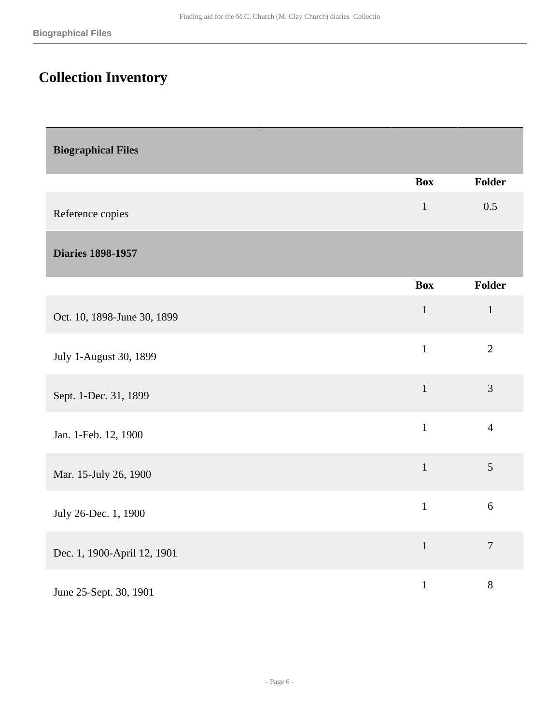# <span id="page-5-0"></span>**Collection Inventory**

<span id="page-5-2"></span><span id="page-5-1"></span>

| <b>Biographical Files</b>   |              |                  |
|-----------------------------|--------------|------------------|
|                             | <b>Box</b>   | <b>Folder</b>    |
| Reference copies            | $\mathbf{1}$ | 0.5              |
| <b>Diaries 1898-1957</b>    |              |                  |
|                             | <b>Box</b>   | <b>Folder</b>    |
| Oct. 10, 1898-June 30, 1899 | $\mathbf{1}$ | $\mathbf{1}$     |
| July 1-August 30, 1899      | $\mathbf{1}$ | $\overline{2}$   |
| Sept. 1-Dec. 31, 1899       | $\mathbf{1}$ | 3                |
| Jan. 1-Feb. 12, 1900        | $\mathbf{1}$ | $\overline{4}$   |
| Mar. 15-July 26, 1900       | $\mathbf{1}$ | 5                |
| July 26-Dec. 1, 1900        | $\mathbf{1}$ | 6                |
| Dec. 1, 1900-April 12, 1901 | $1\,$        | $\boldsymbol{7}$ |
| June 25-Sept. 30, 1901      | $\mathbf 1$  | $8\,$            |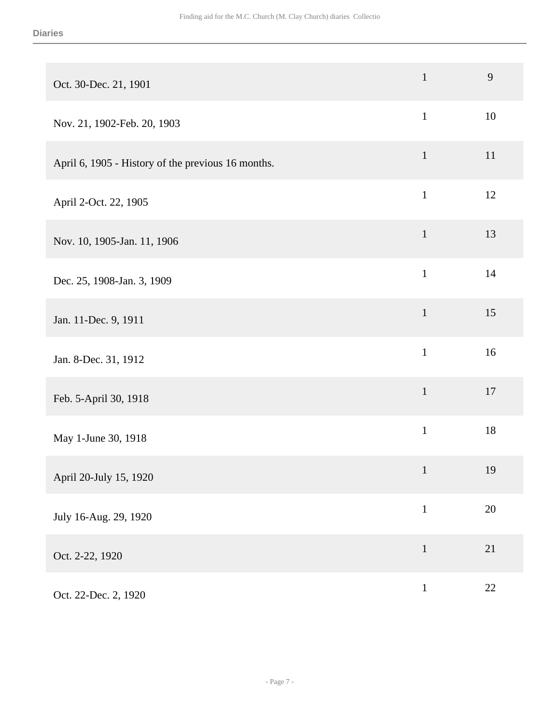| Oct. 30-Dec. 21, 1901                              | $\mathbf 1$  | 9      |
|----------------------------------------------------|--------------|--------|
| Nov. 21, 1902-Feb. 20, 1903                        | $\mathbf{1}$ | 10     |
| April 6, 1905 - History of the previous 16 months. | $\mathbf{1}$ | 11     |
| April 2-Oct. 22, 1905                              | $\mathbf{1}$ | 12     |
| Nov. 10, 1905-Jan. 11, 1906                        | $\mathbf{1}$ | 13     |
| Dec. 25, 1908-Jan. 3, 1909                         | $\mathbf{1}$ | 14     |
| Jan. 11-Dec. 9, 1911                               | $\mathbf 1$  | 15     |
| Jan. 8-Dec. 31, 1912                               | $\mathbf{1}$ | 16     |
| Feb. 5-April 30, 1918                              | $\mathbf{1}$ | 17     |
| May 1-June 30, 1918                                | $\mathbf{1}$ | $18\,$ |
| April 20-July 15, 1920                             | $\mathbf{1}$ | 19     |
| July 16-Aug. 29, 1920                              | $\mathbf{1}$ | $20\,$ |
| Oct. 2-22, 1920                                    | $\mathbf 1$  | 21     |
| Oct. 22-Dec. 2, 1920                               | $\mathbf{1}$ | 22     |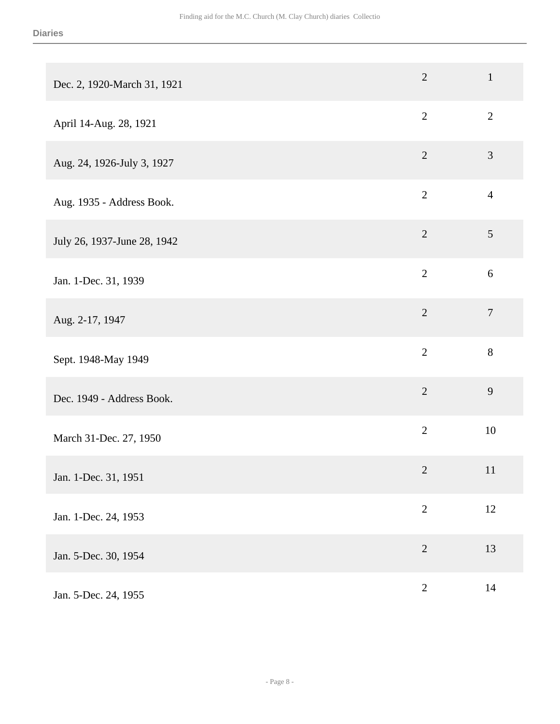| Dec. 2, 1920-March 31, 1921 | $\sqrt{2}$     | $\mathbf{1}$     |
|-----------------------------|----------------|------------------|
| April 14-Aug. 28, 1921      | $\overline{2}$ | $\overline{2}$   |
| Aug. 24, 1926-July 3, 1927  | $\sqrt{2}$     | $\mathfrak{Z}$   |
| Aug. 1935 - Address Book.   | $\mathbf{2}$   | $\overline{4}$   |
| July 26, 1937-June 28, 1942 | $\overline{2}$ | 5                |
| Jan. 1-Dec. 31, 1939        | $\overline{2}$ | 6                |
| Aug. 2-17, 1947             | $\overline{2}$ | $\boldsymbol{7}$ |
| Sept. 1948-May 1949         | $\overline{2}$ | 8                |
| Dec. 1949 - Address Book.   | $\sqrt{2}$     | 9                |
| March 31-Dec. 27, 1950      | $\overline{2}$ | $10\,$           |
| Jan. 1-Dec. 31, 1951        | $\sqrt{2}$     | 11               |
| Jan. 1-Dec. 24, 1953        | $\mathbf{2}$   | 12               |
| Jan. 5-Dec. 30, 1954        | $\sqrt{2}$     | 13               |
| Jan. 5-Dec. 24, 1955        | $\mathbf{2}$   | $14$             |